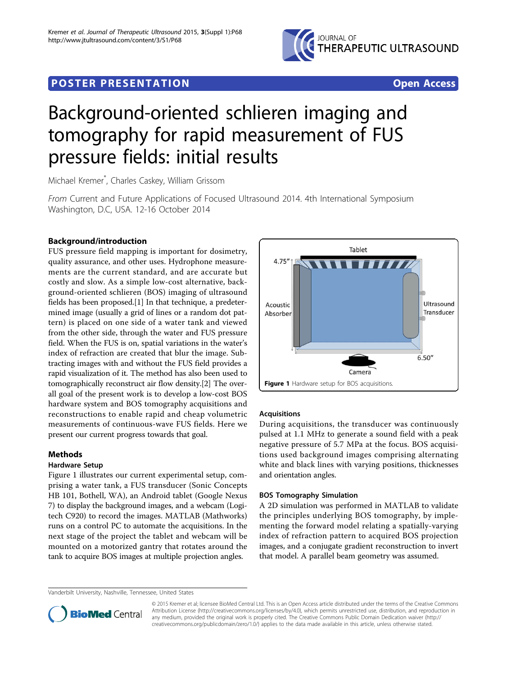

# **POSTER PRESENTATION CONSUMING THE SERVICE SERVICE SERVICES**



# Background-oriented schlieren imaging and tomography for rapid measurement of FUS pressure fields: initial results

Michael Kremer\* , Charles Caskey, William Grissom

From Current and Future Applications of Focused Ultrasound 2014. 4th International Symposium Washington, D.C, USA. 12-16 October 2014

# Background/introduction

FUS pressure field mapping is important for dosimetry, quality assurance, and other uses. Hydrophone measurements are the current standard, and are accurate but costly and slow. As a simple low-cost alternative, background-oriented schlieren (BOS) imaging of ultrasound fields has been proposed.[[1\]](#page-1-0) In that technique, a predetermined image (usually a grid of lines or a random dot pattern) is placed on one side of a water tank and viewed from the other side, through the water and FUS pressure field. When the FUS is on, spatial variations in the water's index of refraction are created that blur the image. Subtracting images with and without the FUS field provides a rapid visualization of it. The method has also been used to tomographically reconstruct air flow density.[[2\]](#page-1-0) The overall goal of the present work is to develop a low-cost BOS hardware system and BOS tomography acquisitions and reconstructions to enable rapid and cheap volumetric measurements of continuous-wave FUS fields. Here we present our current progress towards that goal.

## Methods

## Hardware Setup

Figure 1 illustrates our current experimental setup, comprising a water tank, a FUS transducer (Sonic Concepts HB 101, Bothell, WA), an Android tablet (Google Nexus 7) to display the background images, and a webcam (Logitech C920) to record the images. MATLAB (Mathworks) runs on a control PC to automate the acquisitions. In the next stage of the project the tablet and webcam will be mounted on a motorized gantry that rotates around the tank to acquire BOS images at multiple projection angles.



## Acquisitions

During acquisitions, the transducer was continuously pulsed at 1.1 MHz to generate a sound field with a peak negative pressure of 5.7 MPa at the focus. BOS acquisitions used background images comprising alternating white and black lines with varying positions, thicknesses and orientation angles.

#### BOS Tomography Simulation

A 2D simulation was performed in MATLAB to validate the principles underlying BOS tomography, by implementing the forward model relating a spatially-varying index of refraction pattern to acquired BOS projection images, and a conjugate gradient reconstruction to invert that model. A parallel beam geometry was assumed.

Vanderbilt University, Nashville, Tennessee, United States



© 2015 Kremer et al; licensee BioMed Central Ltd. This is an Open Access article distributed under the terms of the Creative Commons Attribution License [\(http://creativecommons.org/licenses/by/4.0](http://creativecommons.org/licenses/by/4.0)), which permits unrestricted use, distribution, and reproduction in any medium, provided the original work is properly cited. The Creative Commons Public Domain Dedication waiver [\(http://](http://creativecommons.org/publicdomain/zero/1.0/) [creativecommons.org/publicdomain/zero/1.0/](http://creativecommons.org/publicdomain/zero/1.0/)) applies to the data made available in this article, unless otherwise stated.